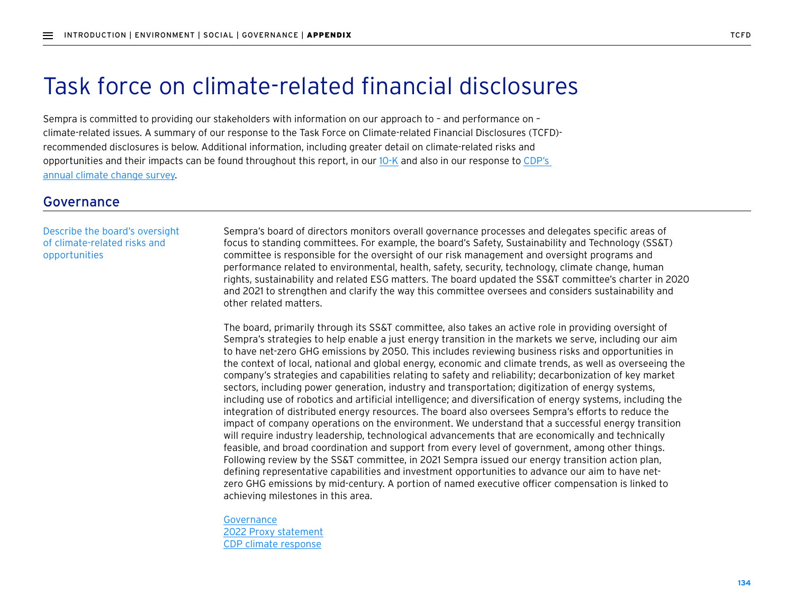# Task force on climate-related financial disclosures

Sempra is committed to providing our stakeholders with information on our approach to – and performance on – climate-related issues. A summary of our response to the Task Force on Climate-related Financial Disclosures (TCFD) recommended disclosures is below. Additional information, including greater detail on climate-related risks and opportunities and their impacts can be found throughout this report, in our  $10\text{-}K$  and also in our response to CDP's [annual climate change survey.](https://www.sempra.com/sites/default/files/content/files/node-media-document/2020/Sempra_Energy_CDP_Climate_Change_Questionnaire_2020.pdf)

## Governance

#### Describe the board's oversight of climate-related risks and opportunities

Sempra's board of directors monitors overall governance processes and delegates specific areas of focus to standing committees. For example, the board's Safety, Sustainability and Technology (SS&T) committee is responsible for the oversight of our risk management and oversight programs and performance related to environmental, health, safety, security, technology, climate change, human rights, sustainability and related ESG matters. The board updated the SS&T committee's charter in 2020 and 2021 to strengthen and clarify the way this committee oversees and considers sustainability and other related matters.

The board, primarily through its SS&T committee, also takes an active role in providing oversight of Sempra's strategies to help enable a just energy transition in the markets we serve, including our aim to have net-zero GHG emissions by 2050. This includes reviewing business risks and opportunities in the context of local, national and global energy, economic and climate trends, as well as overseeing the company's strategies and capabilities relating to safety and reliability; decarbonization of key market sectors, including power generation, industry and transportation; digitization of energy systems, including use of robotics and artificial intelligence; and diversification of energy systems, including the integration of distributed energy resources. The board also oversees Sempra's efforts to reduce the impact of company operations on the environment. We understand that a successful energy transition will require industry leadership, technological advancements that are economically and technically feasible, and broad coordination and support from every level of government, among other things. Following review by the SS&T committee, in 2021 Sempra issued our energy transition action plan, defining representative capabilities and investment opportunities to advance our aim to have netzero GHG emissions by mid-century. A portion of named executive officer compensation is linked to achieving milestones in this area.

Governance [2022 Proxy statement](https://www.sempra.com/sites/default/files/content/files/node-report/2022/Sempra_2022_Proxy_Statement.pdf) [CDP climate response](https://www.sempra.com/sites/default/files/content/files/node-media-document/2020/Sempra_Energy_CDP_Climate_Change_Questionnaire_2020.pdf)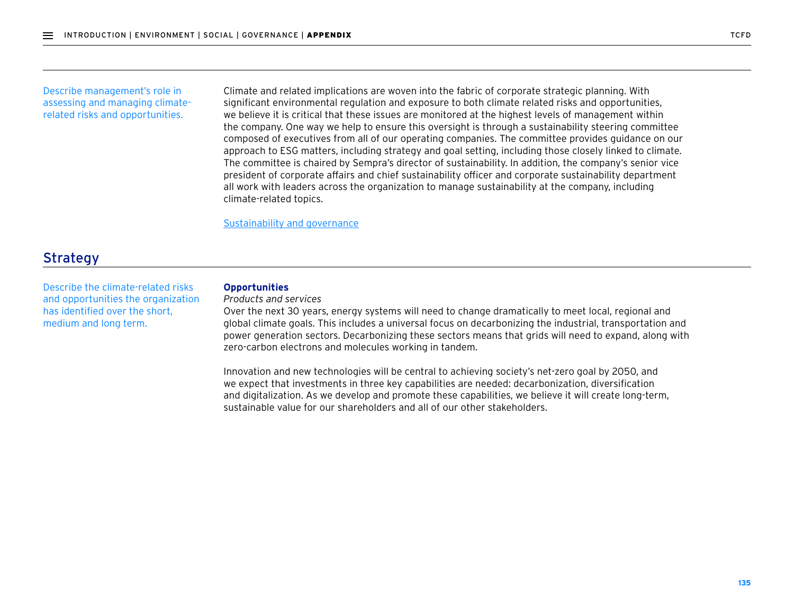#### Describe management's role in assessing and managing climaterelated risks and opportunities.

Climate and related implications are woven into the fabric of corporate strategic planning. With significant environmental regulation and exposure to both climate related risks and opportunities, we believe it is critical that these issues are monitored at the highest levels of management within the company. One way we help to ensure this oversight is through a sustainability steering committee composed of executives from all of our operating companies. The committee provides guidance on our approach to ESG matters, including strategy and goal setting, including those closely linked to climate. The committee is chaired by Sempra's director of sustainability. In addition, the company's senior vice president of corporate affairs and chief sustainability officer and corporate sustainability department all work with leaders across the organization to manage sustainability at the company, including climate-related topics.

Sustainability and governance

# **Strategy**

Describe the climate-related risks and opportunities the organization has identified over the short, medium and long term.

### **Opportunities**

*Products and services*

Over the next 30 years, energy systems will need to change dramatically to meet local, regional and global climate goals. This includes a universal focus on decarbonizing the industrial, transportation and power generation sectors. Decarbonizing these sectors means that grids will need to expand, along with zero-carbon electrons and molecules working in tandem.

Innovation and new technologies will be central to achieving society's net-zero goal by 2050, and we expect that investments in three key capabilities are needed: decarbonization, diversification and digitalization. As we develop and promote these capabilities, we believe it will create long-term, sustainable value for our shareholders and all of our other stakeholders.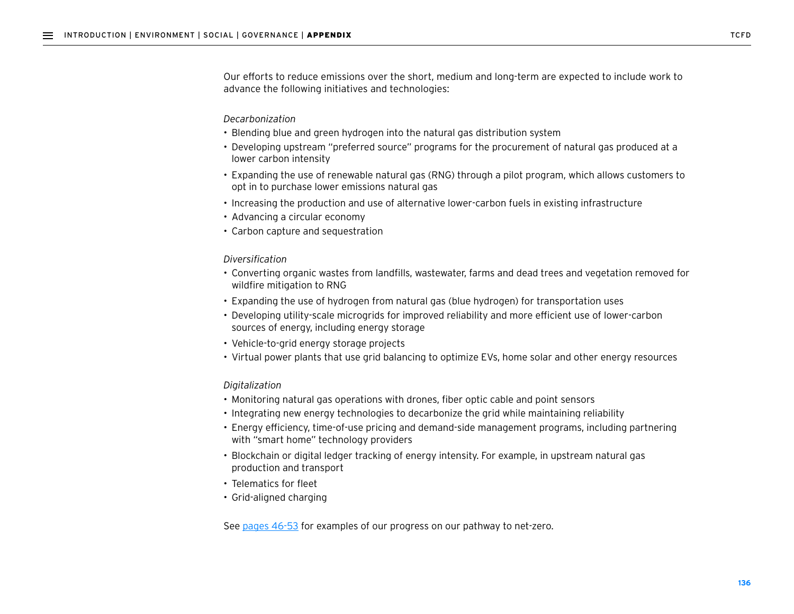Our efforts to reduce emissions over the short, medium and long-term are expected to include work to advance the following initiatives and technologies:

#### *Decarbonization*

- Blending blue and green hydrogen into the natural gas distribution system
- Developing upstream "preferred source" programs for the procurement of natural gas produced at a lower carbon intensity
- Expanding the use of renewable natural gas (RNG) through a pilot program, which allows customers to opt in to purchase lower emissions natural gas
- Increasing the production and use of alternative lower-carbon fuels in existing infrastructure
- Advancing a circular economy
- Carbon capture and sequestration

#### *Diversification*

- Converting organic wastes from landfills, wastewater, farms and dead trees and vegetation removed for wildfire mitigation to RNG
- Expanding the use of hydrogen from natural gas (blue hydrogen) for transportation uses
- Developing utility-scale microgrids for improved reliability and more efficient use of lower-carbon sources of energy, including energy storage
- Vehicle-to-grid energy storage projects
- Virtual power plants that use grid balancing to optimize EVs, home solar and other energy resources

#### *Digitalization*

- Monitoring natural gas operations with drones, fiber optic cable and point sensors
- Integrating new energy technologies to decarbonize the grid while maintaining reliability
- Energy efficiency, time-of-use pricing and demand-side management programs, including partnering with "smart home" technology providers
- Blockchain or digital ledger tracking of energy intensity. For example, in upstream natural gas production and transport
- Telematics for fleet
- Grid-aligned charging

See pages 46-53 for examples of our progress on our pathway to net-zero.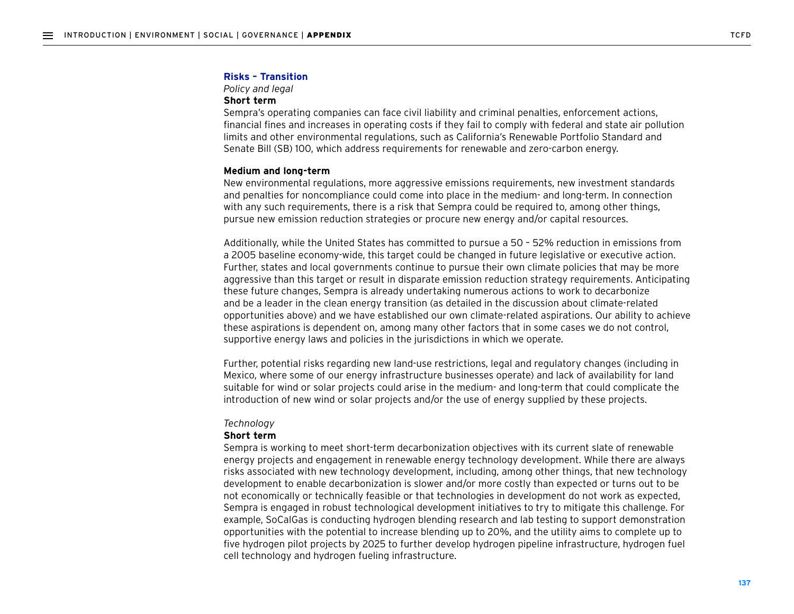#### **Risks – Transition**

*Policy and legal*

#### **Short term**

Sempra's operating companies can face civil liability and criminal penalties, enforcement actions, financial fines and increases in operating costs if they fail to comply with federal and state air pollution limits and other environmental regulations, such as California's Renewable Portfolio Standard and Senate Bill (SB) 100, which address requirements for renewable and zero-carbon energy.

#### **Medium and long-term**

New environmental regulations, more aggressive emissions requirements, new investment standards and penalties for noncompliance could come into place in the medium- and long-term. In connection with any such requirements, there is a risk that Sempra could be required to, among other things, pursue new emission reduction strategies or procure new energy and/or capital resources.

Additionally, while the United States has committed to pursue a 50 – 52% reduction in emissions from a 2005 baseline economy-wide, this target could be changed in future legislative or executive action. Further, states and local governments continue to pursue their own climate policies that may be more aggressive than this target or result in disparate emission reduction strategy requirements. Anticipating these future changes, Sempra is already undertaking numerous actions to work to decarbonize and be a leader in the clean energy transition (as detailed in the discussion about climate-related opportunities above) and we have established our own climate-related aspirations. Our ability to achieve these aspirations is dependent on, among many other factors that in some cases we do not control, supportive energy laws and policies in the jurisdictions in which we operate.

Further, potential risks regarding new land-use restrictions, legal and regulatory changes (including in Mexico, where some of our energy infrastructure businesses operate) and lack of availability for land suitable for wind or solar projects could arise in the medium- and long-term that could complicate the introduction of new wind or solar projects and/or the use of energy supplied by these projects.

#### *Technology*

#### **Short term**

Sempra is working to meet short-term decarbonization objectives with its current slate of renewable energy projects and engagement in renewable energy technology development. While there are always risks associated with new technology development, including, among other things, that new technology development to enable decarbonization is slower and/or more costly than expected or turns out to be not economically or technically feasible or that technologies in development do not work as expected, Sempra is engaged in robust technological development initiatives to try to mitigate this challenge. For example, SoCalGas is conducting hydrogen blending research and lab testing to support demonstration opportunities with the potential to increase blending up to 20%, and the utility aims to complete up to five hydrogen pilot projects by 2025 to further develop hydrogen pipeline infrastructure, hydrogen fuel cell technology and hydrogen fueling infrastructure.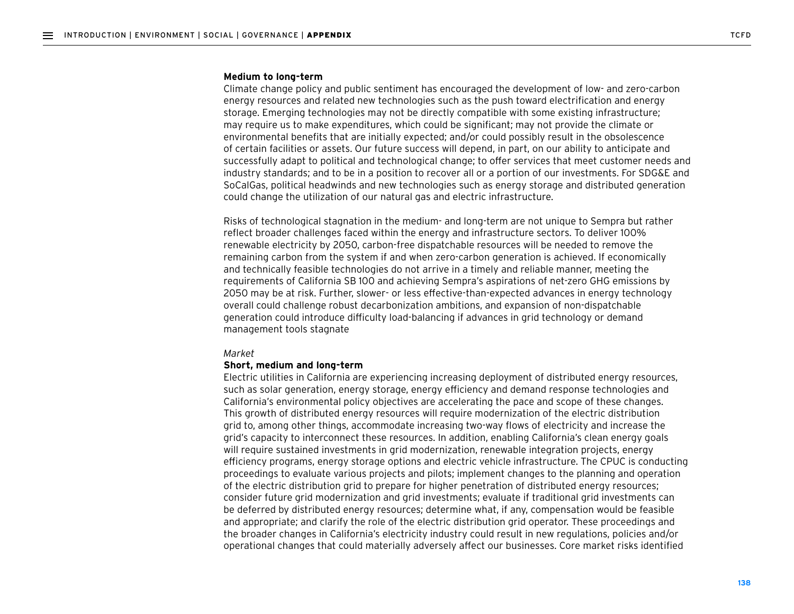#### **Medium to long-term**

Climate change policy and public sentiment has encouraged the development of low- and zero-carbon energy resources and related new technologies such as the push toward electrification and energy storage. Emerging technologies may not be directly compatible with some existing infrastructure; may require us to make expenditures, which could be significant; may not provide the climate or environmental benefits that are initially expected; and/or could possibly result in the obsolescence of certain facilities or assets. Our future success will depend, in part, on our ability to anticipate and successfully adapt to political and technological change; to offer services that meet customer needs and industry standards; and to be in a position to recover all or a portion of our investments. For SDG&E and SoCalGas, political headwinds and new technologies such as energy storage and distributed generation could change the utilization of our natural gas and electric infrastructure.

Risks of technological stagnation in the medium- and long-term are not unique to Sempra but rather reflect broader challenges faced within the energy and infrastructure sectors. To deliver 100% renewable electricity by 2050, carbon-free dispatchable resources will be needed to remove the remaining carbon from the system if and when zero-carbon generation is achieved. If economically and technically feasible technologies do not arrive in a timely and reliable manner, meeting the requirements of California SB 100 and achieving Sempra's aspirations of net-zero GHG emissions by 2050 may be at risk. Further, slower- or less effective-than-expected advances in energy technology overall could challenge robust decarbonization ambitions, and expansion of non-dispatchable generation could introduce difficulty load-balancing if advances in grid technology or demand management tools stagnate

#### *Market*

#### **Short, medium and long-term**

Electric utilities in California are experiencing increasing deployment of distributed energy resources, such as solar generation, energy storage, energy efficiency and demand response technologies and California's environmental policy objectives are accelerating the pace and scope of these changes. This growth of distributed energy resources will require modernization of the electric distribution grid to, among other things, accommodate increasing two-way flows of electricity and increase the grid's capacity to interconnect these resources. In addition, enabling California's clean energy goals will require sustained investments in grid modernization, renewable integration projects, energy efficiency programs, energy storage options and electric vehicle infrastructure. The CPUC is conducting proceedings to evaluate various projects and pilots; implement changes to the planning and operation of the electric distribution grid to prepare for higher penetration of distributed energy resources; consider future grid modernization and grid investments; evaluate if traditional grid investments can be deferred by distributed energy resources; determine what, if any, compensation would be feasible and appropriate; and clarify the role of the electric distribution grid operator. These proceedings and the broader changes in California's electricity industry could result in new regulations, policies and/or operational changes that could materially adversely affect our businesses. Core market risks identified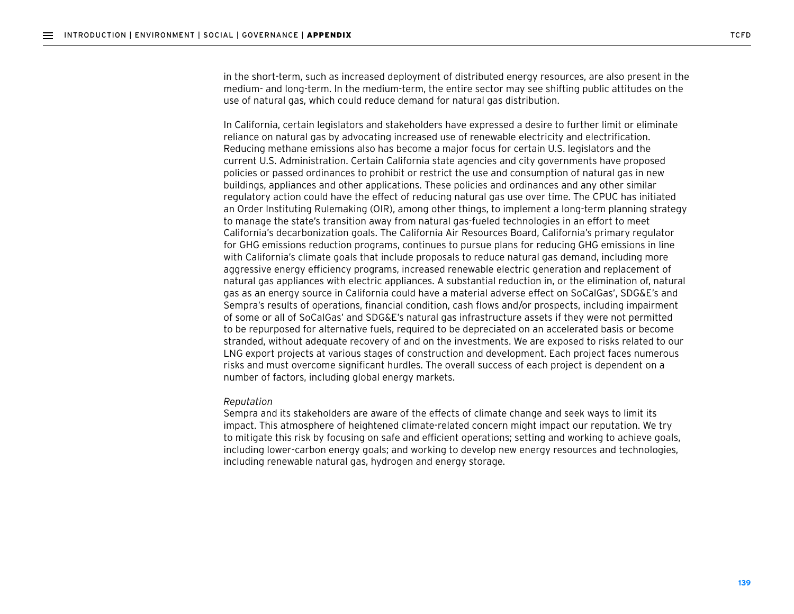in the short-term, such as increased deployment of distributed energy resources, are also present in the medium- and long-term. In the medium-term, the entire sector may see shifting public attitudes on the use of natural gas, which could reduce demand for natural gas distribution.

In California, certain legislators and stakeholders have expressed a desire to further limit or eliminate reliance on natural gas by advocating increased use of renewable electricity and electrification. Reducing methane emissions also has become a major focus for certain U.S. legislators and the current U.S. Administration. Certain California state agencies and city governments have proposed policies or passed ordinances to prohibit or restrict the use and consumption of natural gas in new buildings, appliances and other applications. These policies and ordinances and any other similar regulatory action could have the effect of reducing natural gas use over time. The CPUC has initiated an Order Instituting Rulemaking (OIR), among other things, to implement a long-term planning strategy to manage the state's transition away from natural gas-fueled technologies in an effort to meet California's decarbonization goals. The California Air Resources Board, California's primary regulator for GHG emissions reduction programs, continues to pursue plans for reducing GHG emissions in line with California's climate goals that include proposals to reduce natural gas demand, including more aggressive energy efficiency programs, increased renewable electric generation and replacement of natural gas appliances with electric appliances. A substantial reduction in, or the elimination of, natural gas as an energy source in California could have a material adverse effect on SoCalGas', SDG&E's and Sempra's results of operations, financial condition, cash flows and/or prospects, including impairment of some or all of SoCalGas' and SDG&E's natural gas infrastructure assets if they were not permitted to be repurposed for alternative fuels, required to be depreciated on an accelerated basis or become stranded, without adequate recovery of and on the investments. We are exposed to risks related to our LNG export projects at various stages of construction and development. Each project faces numerous risks and must overcome significant hurdles. The overall success of each project is dependent on a number of factors, including global energy markets.

#### *Reputation*

Sempra and its stakeholders are aware of the effects of climate change and seek ways to limit its impact. This atmosphere of heightened climate-related concern might impact our reputation. We try to mitigate this risk by focusing on safe and efficient operations; setting and working to achieve goals, including lower-carbon energy goals; and working to develop new energy resources and technologies, including renewable natural gas, hydrogen and energy storage.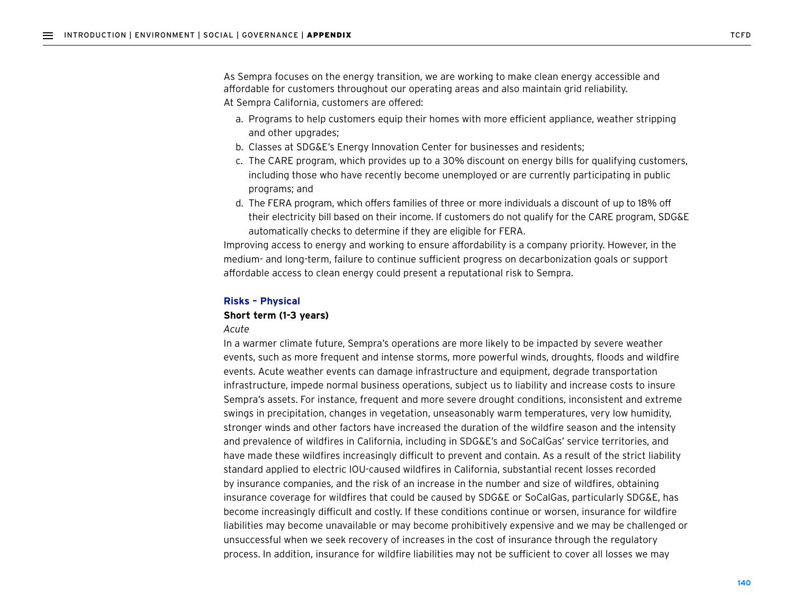As Sempra focuses on the energy transition, we are working to make clean energy accessible and affordable for customers throughout our operating areas and also maintain grid reliability. At Sempra California, customers are offered:

- a. Programs to help customers equip their homes with more efficient appliance, weather stripping and other upgrades;
- b. Classes at SDG&E's Energy Innovation Center for businesses and residents;
- c. The CARE program, which provides up to a 30% discount on energy bills for qualifying customers, including those who have recently become unemployed or are currently participating in public programs; and
- d. The FERA program, which offers families of three or more individuals a discount of up to 18% off their electricity bill based on their income. If customers do not qualify for the CARE program, SDG&E automatically checks to determine if they are eligible for FERA.

Improving access to energy and working to ensure affordability is a company priority. However, in the medium- and long-term, failure to continue sufficient progress on decarbonization goals or support affordable access to clean energy could present a reputational risk to Sempra.

#### **Risks – Physical**

#### **Short term (1-3 years)**

#### *Acute*

In a warmer climate future, Sempra's operations are more likely to be impacted by severe weather events, such as more frequent and intense storms, more powerful winds, droughts, floods and wildfire events. Acute weather events can damage infrastructure and equipment, degrade transportation infrastructure, impede normal business operations, subject us to liability and increase costs to insure Sempra's assets. For instance, frequent and more severe drought conditions, inconsistent and extreme swings in precipitation, changes in vegetation, unseasonably warm temperatures, very low humidity, stronger winds and other factors have increased the duration of the wildfire season and the intensity and prevalence of wildfires in California, including in SDG&E's and SoCalGas' service territories, and have made these wildfires increasingly difficult to prevent and contain. As a result of the strict liability standard applied to electric IOU-caused wildfires in California, substantial recent losses recorded by insurance companies, and the risk of an increase in the number and size of wildfires, obtaining insurance coverage for wildfires that could be caused by SDG&E or SoCalGas, particularly SDG&E, has become increasingly difficult and costly. If these conditions continue or worsen, insurance for wildfire liabilities may become unavailable or may become prohibitively expensive and we may be challenged or unsuccessful when we seek recovery of increases in the cost of insurance through the regulatory process. In addition, insurance for wildfire liabilities may not be sufficient to cover all losses we may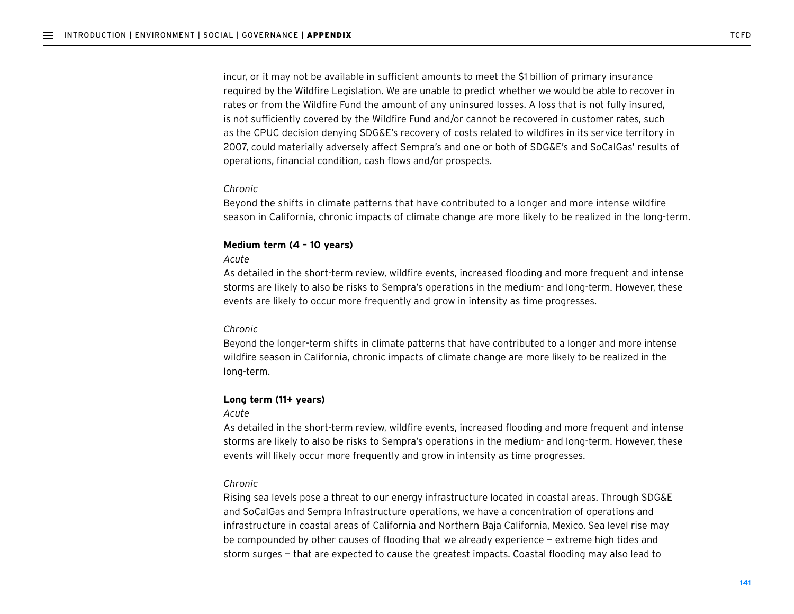incur, or it may not be available in sufficient amounts to meet the \$1 billion of primary insurance required by the Wildfire Legislation. We are unable to predict whether we would be able to recover in rates or from the Wildfire Fund the amount of any uninsured losses. A loss that is not fully insured, is not sufficiently covered by the Wildfire Fund and/or cannot be recovered in customer rates, such as the CPUC decision denying SDG&E's recovery of costs related to wildfires in its service territory in 2007, could materially adversely affect Sempra's and one or both of SDG&E's and SoCalGas' results of operations, financial condition, cash flows and/or prospects.

#### *Chronic*

Beyond the shifts in climate patterns that have contributed to a longer and more intense wildfire season in California, chronic impacts of climate change are more likely to be realized in the long-term.

#### **Medium term (4 – 10 years)**

#### *Acute*

As detailed in the short-term review, wildfire events, increased flooding and more frequent and intense storms are likely to also be risks to Sempra's operations in the medium- and long-term. However, these events are likely to occur more frequently and grow in intensity as time progresses.

#### *Chronic*

Beyond the longer-term shifts in climate patterns that have contributed to a longer and more intense wildfire season in California, chronic impacts of climate change are more likely to be realized in the long-term.

#### **Long term (11+ years)**

#### *Acute*

As detailed in the short-term review, wildfire events, increased flooding and more frequent and intense storms are likely to also be risks to Sempra's operations in the medium- and long-term. However, these events will likely occur more frequently and grow in intensity as time progresses.

#### *Chronic*

Rising sea levels pose a threat to our energy infrastructure located in coastal areas. Through SDG&E and SoCalGas and Sempra Infrastructure operations, we have a concentration of operations and infrastructure in coastal areas of California and Northern Baja California, Mexico. Sea level rise may be compounded by other causes of flooding that we already experience — extreme high tides and storm surges — that are expected to cause the greatest impacts. Coastal flooding may also lead to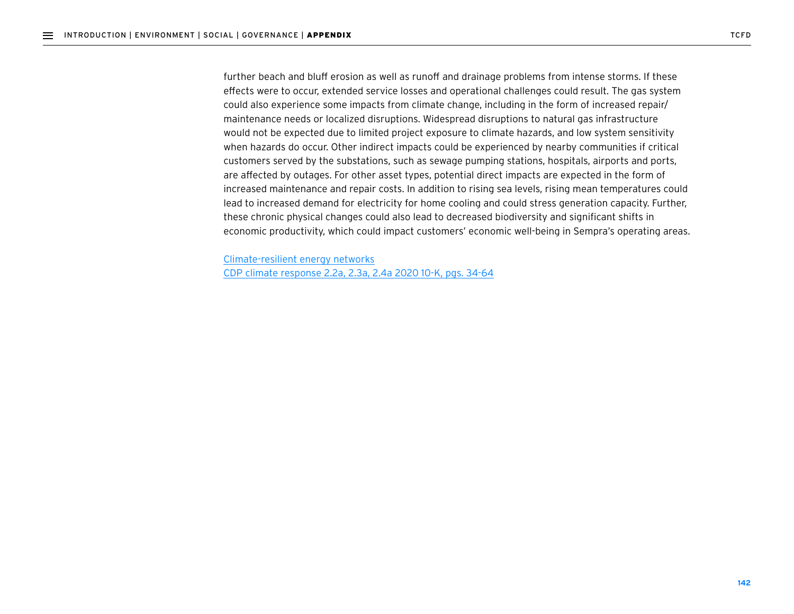further beach and bluff erosion as well as runoff and drainage problems from intense storms. If these effects were to occur, extended service losses and operational challenges could result. The gas system could also experience some impacts from climate change, including in the form of increased repair/ maintenance needs or localized disruptions. Widespread disruptions to natural gas infrastructure would not be expected due to limited project exposure to climate hazards, and low system sensitivity when hazards do occur. Other indirect impacts could be experienced by nearby communities if critical customers served by the substations, such as sewage pumping stations, hospitals, airports and ports, are affected by outages. For other asset types, potential direct impacts are expected in the form of increased maintenance and repair costs. In addition to rising sea levels, rising mean temperatures could lead to increased demand for electricity for home cooling and could stress generation capacity. Further, these chronic physical changes could also lead to decreased biodiversity and significant shifts in economic productivity, which could impact customers' economic well-being in Sempra's operating areas.

Climate-resilient energy networks [CDP climate response 2.2a, 2.3a, 2.4a 2020 10-K, pgs. 34-64](https://www.sempra.com/sites/default/files/content/files/node-media-document/2020/Sempra_Energy_CDP_Climate_Change_Questionnaire_2020.pdf#page%3D36)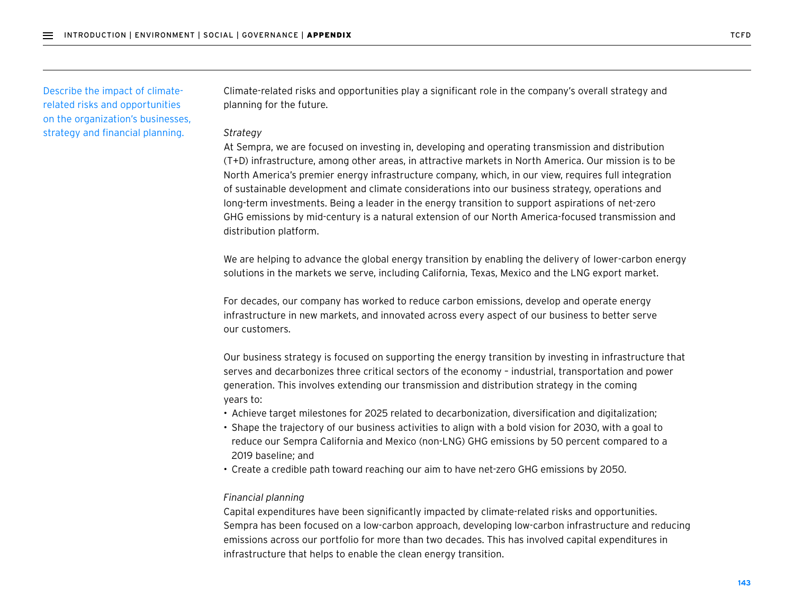Describe the impact of climaterelated risks and opportunities on the organization's businesses, strategy and financial planning.

Climate-related risks and opportunities play a significant role in the company's overall strategy and planning for the future.

#### *Strategy*

At Sempra, we are focused on investing in, developing and operating transmission and distribution (T+D) infrastructure, among other areas, in attractive markets in North America. Our mission is to be North America's premier energy infrastructure company, which, in our view, requires full integration of sustainable development and climate considerations into our business strategy, operations and long-term investments. Being a leader in the energy transition to support aspirations of net-zero GHG emissions by mid-century is a natural extension of our North America-focused transmission and distribution platform.

We are helping to advance the global energy transition by enabling the delivery of lower-carbon energy solutions in the markets we serve, including California, Texas, Mexico and the LNG export market.

For decades, our company has worked to reduce carbon emissions, develop and operate energy infrastructure in new markets, and innovated across every aspect of our business to better serve our customers.

Our business strategy is focused on supporting the energy transition by investing in infrastructure that serves and decarbonizes three critical sectors of the economy – industrial, transportation and power generation. This involves extending our transmission and distribution strategy in the coming years to:

- Achieve target milestones for 2025 related to decarbonization, diversification and digitalization;
- Shape the trajectory of our business activities to align with a bold vision for 2030, with a goal to reduce our Sempra California and Mexico (non-LNG) GHG emissions by 50 percent compared to a 2019 baseline; and
- Create a credible path toward reaching our aim to have net-zero GHG emissions by 2050.

#### *Financial planning*

Capital expenditures have been significantly impacted by climate-related risks and opportunities. Sempra has been focused on a low-carbon approach, developing low-carbon infrastructure and reducing emissions across our portfolio for more than two decades. This has involved capital expenditures in infrastructure that helps to enable the clean energy transition.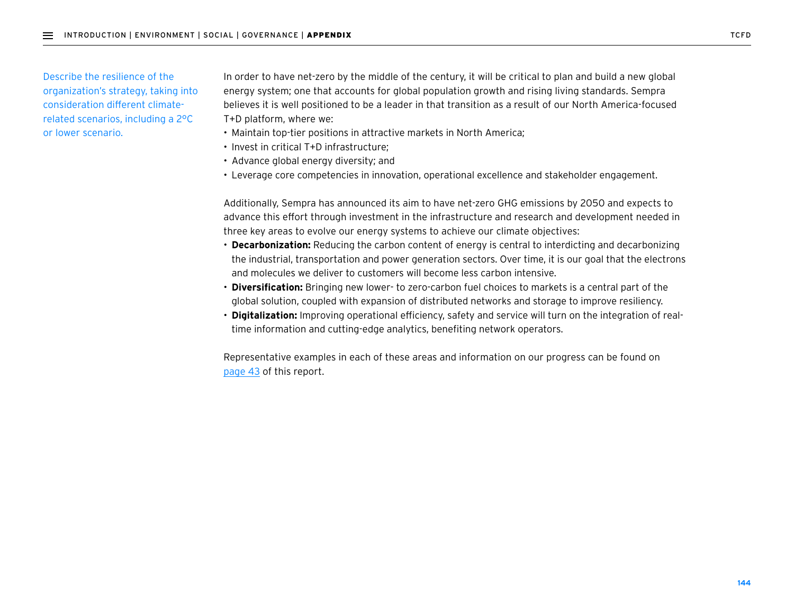Describe the resilience of the organization's strategy, taking into consideration different climaterelated scenarios, including a 2°C or lower scenario.

In order to have net-zero by the middle of the century, it will be critical to plan and build a new global energy system; one that accounts for global population growth and rising living standards. Sempra believes it is well positioned to be a leader in that transition as a result of our North America-focused T+D platform, where we:

- Maintain top-tier positions in attractive markets in North America;
- Invest in critical T+D infrastructure;
- Advance global energy diversity; and
- Leverage core competencies in innovation, operational excellence and stakeholder engagement.

Additionally, Sempra has announced its aim to have net-zero GHG emissions by 2050 and expects to advance this effort through investment in the infrastructure and research and development needed in three key areas to evolve our energy systems to achieve our climate objectives:

- **Decarbonization:** Reducing the carbon content of energy is central to interdicting and decarbonizing the industrial, transportation and power generation sectors. Over time, it is our goal that the electrons and molecules we deliver to customers will become less carbon intensive.
- **Diversification:** Bringing new lower- to zero-carbon fuel choices to markets is a central part of the global solution, coupled with expansion of distributed networks and storage to improve resiliency.
- **Digitalization:** Improving operational efficiency, safety and service will turn on the integration of realtime information and cutting-edge analytics, benefiting network operators.

Representative examples in each of these areas and information on our progress can be found on page 43 of this report.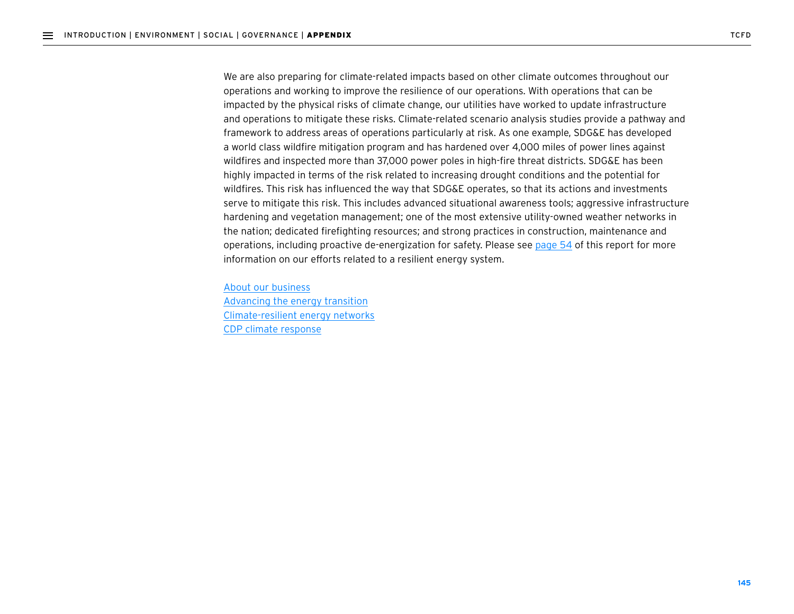We are also preparing for climate-related impacts based on other climate outcomes throughout our operations and working to improve the resilience of our operations. With operations that can be impacted by the physical risks of climate change, our utilities have worked to update infrastructure and operations to mitigate these risks. Climate-related scenario analysis studies provide a pathway and framework to address areas of operations particularly at risk. As one example, SDG&E has developed a world class wildfire mitigation program and has hardened over 4,000 miles of power lines against wildfires and inspected more than 37,000 power poles in high-fire threat districts. SDG&E has been highly impacted in terms of the risk related to increasing drought conditions and the potential for wildfires. This risk has influenced the way that SDG&E operates, so that its actions and investments serve to mitigate this risk. This includes advanced situational awareness tools; aggressive infrastructure hardening and vegetation management; one of the most extensive utility-owned weather networks in the nation; dedicated firefighting resources; and strong practices in construction, maintenance and operations, including proactive de-energization for safety. Please see page 54 of this report for more information on our efforts related to a resilient energy system.

About our business Advancing the energy transition Climate-resilient energy networks [CDP climate response](https://www.sempra.com/sites/default/files/content/files/node-media-document/2020/Sempra_Energy_CDP_Climate_Change_Questionnaire_2020.pdf#page%3D47)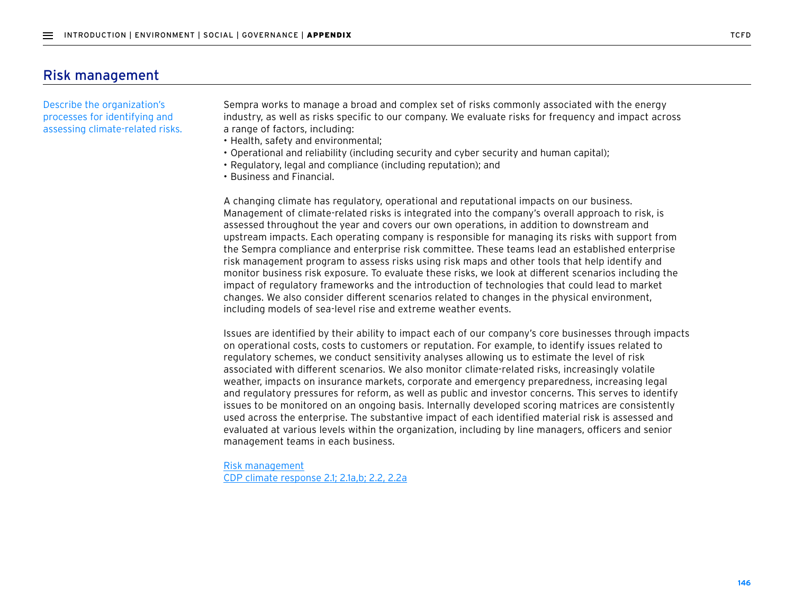## Risk management

Describe the organization's processes for identifying and assessing climate-related risks. Sempra works to manage a broad and complex set of risks commonly associated with the energy industry, as well as risks specific to our company. We evaluate risks for frequency and impact across a range of factors, including:

- Health, safety and environmental;
- Operational and reliability (including security and cyber security and human capital);
- Regulatory, legal and compliance (including reputation); and
- Business and Financial.

A changing climate has regulatory, operational and reputational impacts on our business. Management of climate-related risks is integrated into the company's overall approach to risk, is assessed throughout the year and covers our own operations, in addition to downstream and upstream impacts. Each operating company is responsible for managing its risks with support from the Sempra compliance and enterprise risk committee. These teams lead an established enterprise risk management program to assess risks using risk maps and other tools that help identify and monitor business risk exposure. To evaluate these risks, we look at different scenarios including the impact of regulatory frameworks and the introduction of technologies that could lead to market changes. We also consider different scenarios related to changes in the physical environment, including models of sea-level rise and extreme weather events.

Issues are identified by their ability to impact each of our company's core businesses through impacts on operational costs, costs to customers or reputation. For example, to identify issues related to regulatory schemes, we conduct sensitivity analyses allowing us to estimate the level of risk associated with different scenarios. We also monitor climate-related risks, increasingly volatile weather, impacts on insurance markets, corporate and emergency preparedness, increasing legal and regulatory pressures for reform, as well as public and investor concerns. This serves to identify issues to be monitored on an ongoing basis. Internally developed scoring matrices are consistently used across the enterprise. The substantive impact of each identified material risk is assessed and evaluated at various levels within the organization, including by line managers, officers and senior management teams in each business.

Risk management [CDP climate response 2.1; 2.1a,b; 2.2, 2.2a](https://www.sempra.com/sites/default/files/content/files/node-media-document/2020/Sempra_Energy_CDP_Climate_Change_Questionnaire_2020.pdf)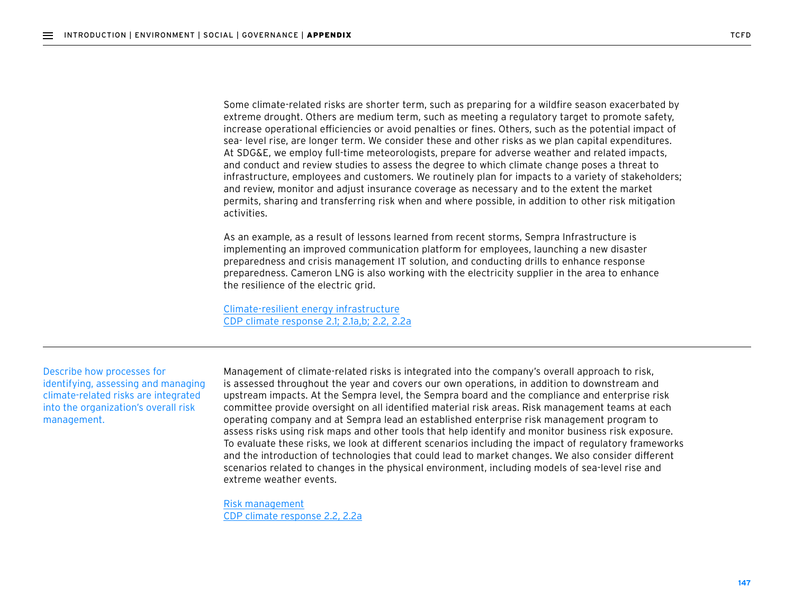Some climate-related risks are shorter term, such as preparing for a wildfire season exacerbated by extreme drought. Others are medium term, such as meeting a regulatory target to promote safety, increase operational efficiencies or avoid penalties or fines. Others, such as the potential impact of sea- level rise, are longer term. We consider these and other risks as we plan capital expenditures. At SDG&E, we employ full-time meteorologists, prepare for adverse weather and related impacts, and conduct and review studies to assess the degree to which climate change poses a threat to infrastructure, employees and customers. We routinely plan for impacts to a variety of stakeholders; and review, monitor and adjust insurance coverage as necessary and to the extent the market permits, sharing and transferring risk when and where possible, in addition to other risk mitigation activities.

As an example, as a result of lessons learned from recent storms, Sempra Infrastructure is implementing an improved communication platform for employees, launching a new disaster preparedness and crisis management IT solution, and conducting drills to enhance response preparedness. Cameron LNG is also working with the electricity supplier in the area to enhance the resilience of the electric grid.

Climate-resilient energy infrastructure [CDP climate response 2.1; 2.1a,b; 2.2, 2.2a](https://www.sempra.com/sites/default/files/content/files/node-media-document/2020/Sempra_Energy_CDP_Climate_Change_Questionnaire_2020.pdf)

Describe how processes for identifying, assessing and managing climate-related risks are integrated into the organization's overall risk management.

Management of climate-related risks is integrated into the company's overall approach to risk, is assessed throughout the year and covers our own operations, in addition to downstream and upstream impacts. At the Sempra level, the Sempra board and the compliance and enterprise risk committee provide oversight on all identified material risk areas. Risk management teams at each operating company and at Sempra lead an established enterprise risk management program to assess risks using risk maps and other tools that help identify and monitor business risk exposure. To evaluate these risks, we look at different scenarios including the impact of regulatory frameworks and the introduction of technologies that could lead to market changes. We also consider different scenarios related to changes in the physical environment, including models of sea-level rise and extreme weather events.

Risk management [CDP climate response 2.2, 2.2a](https://www.sempra.com/sites/default/files/content/files/node-media-document/2020/Sempra_Energy_CDP_Climate_Change_Questionnaire_2020.pdf)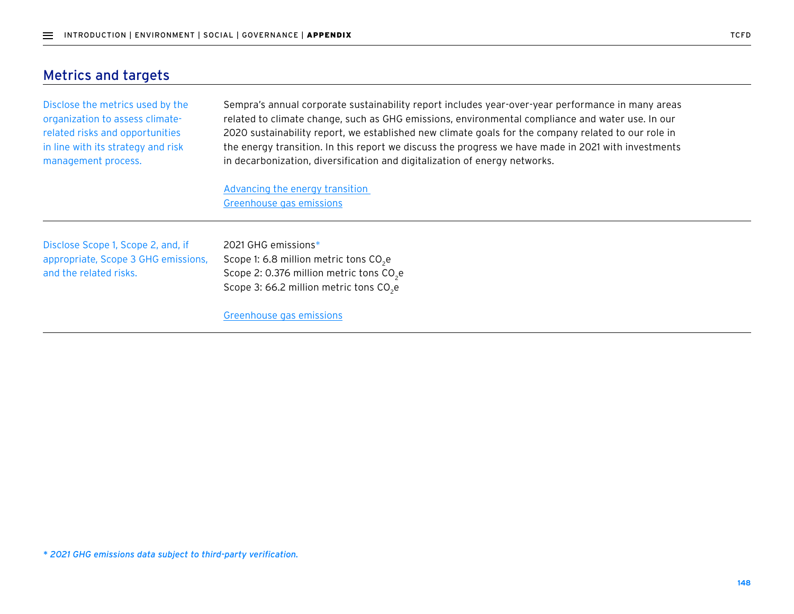# Metrics and targets

Disclose the metrics used by the organization to assess climaterelated risks and opportunities in line with its strategy and risk management process.

Sempra's annual corporate sustainability report includes year-over-year performance in many areas related to climate change, such as GHG emissions, environmental compliance and water use. In our 2020 sustainability report, we established new climate goals for the company related to our role in the energy transition. In this report we discuss the progress we have made in 2021 with investments in decarbonization, diversification and digitalization of energy networks.

Advancing the energy transition Greenhouse gas emissions

Disclose Scope 1, Scope 2, and, if appropriate, Scope 3 GHG emissions, and the related risks.

2021 GHG emissions\* Scope 1: 6.8 million metric tons CO<sub>2</sub>e Scope 2: 0.376 million metric tons CO<sub>2</sub>e Scope 3: 66.2 million metric tons  $CO<sub>2</sub>e$ 

Greenhouse gas emissions